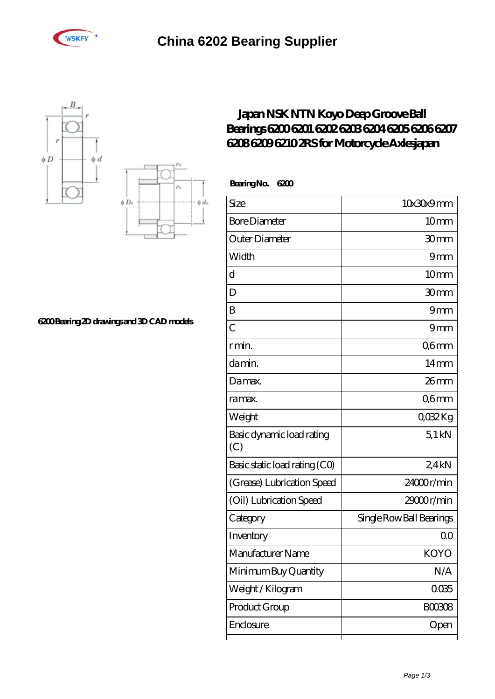





## **[6200 Bearing 2D drawings and 3D CAD models](https://brosebaskets.tv/pic-808887.html)**

## **[Japan NSK NTN Koyo Deep Groove Ball](https://brosebaskets.tv/nsk-6208-bearing/koyo-6200.html)** Bearings 6200 6200 6202 6203 6204 6205 6206 6207 **[6208 6209 6210 2RS for Motorcycle Axlesjapan](https://brosebaskets.tv/nsk-6208-bearing/koyo-6200.html)**

 **Bearing No. 6200**

| Size                             | 10x30x9mm                |
|----------------------------------|--------------------------|
| <b>Bore Diameter</b>             | 10 <sub>mm</sub>         |
| Outer Diameter                   | 30mm                     |
| Width                            | 9mm                      |
| d                                | 10 <sub>mm</sub>         |
| D                                | 30 <sub>mm</sub>         |
| B                                | 9mm                      |
| $\overline{C}$                   | 9mm                      |
| r min.                           | Q6mm                     |
| da min.                          | 14 <sub>mm</sub>         |
| Damax.                           | 26 <sub>mm</sub>         |
| ra max.                          | Q6mm                     |
| Weight                           | QO32Kg                   |
| Basic dynamic load rating<br>(C) | 51kN                     |
| Basic static load rating (CO)    | 2.4kN                    |
| (Grease) Lubrication Speed       | 24000r/min               |
| (Oil) Lubrication Speed          | 29000r/min               |
| Category                         | Single Row Ball Bearings |
| Inventory                        | 00                       |
| Manufacturer Name                | <b>KOYO</b>              |
| Minimum Buy Quantity             | N/A                      |
| Weight / Kilogram                | 0035                     |
| Product Group                    | <b>BOO308</b>            |
| Enclosure                        | Open                     |
|                                  |                          |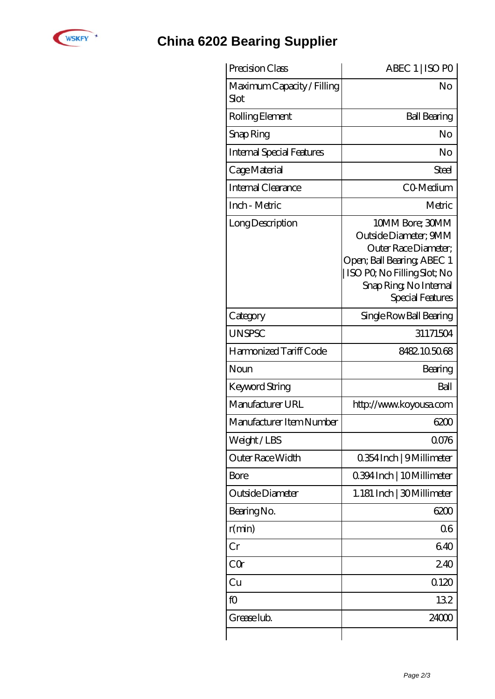

## **[China 6202 Bearing Supplier](https://brosebaskets.tv)**

| Precision Class                    | ABEC 1   ISO PO                                                                                                                                                              |
|------------------------------------|------------------------------------------------------------------------------------------------------------------------------------------------------------------------------|
| Maximum Capacity / Filling<br>Slot | No                                                                                                                                                                           |
| Rolling Element                    | <b>Ball Bearing</b>                                                                                                                                                          |
| Snap Ring                          | No                                                                                                                                                                           |
| <b>Internal Special Features</b>   | No                                                                                                                                                                           |
| Cage Material                      | Steel                                                                                                                                                                        |
| Internal Clearance                 | CO-Medium                                                                                                                                                                    |
| Inch - Metric                      | Metric                                                                                                                                                                       |
| Long Description                   | 10MM Bore; 30MM<br>Outside Diameter; 9MM<br>Outer Race Diameter:<br>Open; Ball Bearing; ABEC 1<br>  ISO PQ No Filling Slot; No<br>Snap Ring, No Internal<br>Special Features |
| Category                           | Single Row Ball Bearing                                                                                                                                                      |
| <b>UNSPSC</b>                      | 31171504                                                                                                                                                                     |
| Harmonized Tariff Code             | 8482105068                                                                                                                                                                   |
| Noun                               | Bearing                                                                                                                                                                      |
| Keyword String                     | Ball                                                                                                                                                                         |
| Manufacturer URL                   | http://www.koyousa.com                                                                                                                                                       |
| Manufacturer Item Number           | 6200                                                                                                                                                                         |
| Weight/LBS                         | 0076                                                                                                                                                                         |
| Outer Race Width                   | 0.354 Inch   9 Millimeter                                                                                                                                                    |
| Bore                               | 0.394 Inch   10 Millimeter                                                                                                                                                   |
| Outside Diameter                   | 1.181 Inch   30 Millimeter                                                                                                                                                   |
| Bearing No.                        | 6200                                                                                                                                                                         |
| r(min)                             | 06                                                                                                                                                                           |
| Cr                                 | 640                                                                                                                                                                          |
| $C\Omega$                          | 240                                                                                                                                                                          |
| Cu                                 | 0120                                                                                                                                                                         |
| fO                                 | 132                                                                                                                                                                          |
| Grease lub.                        | 24000                                                                                                                                                                        |
|                                    |                                                                                                                                                                              |